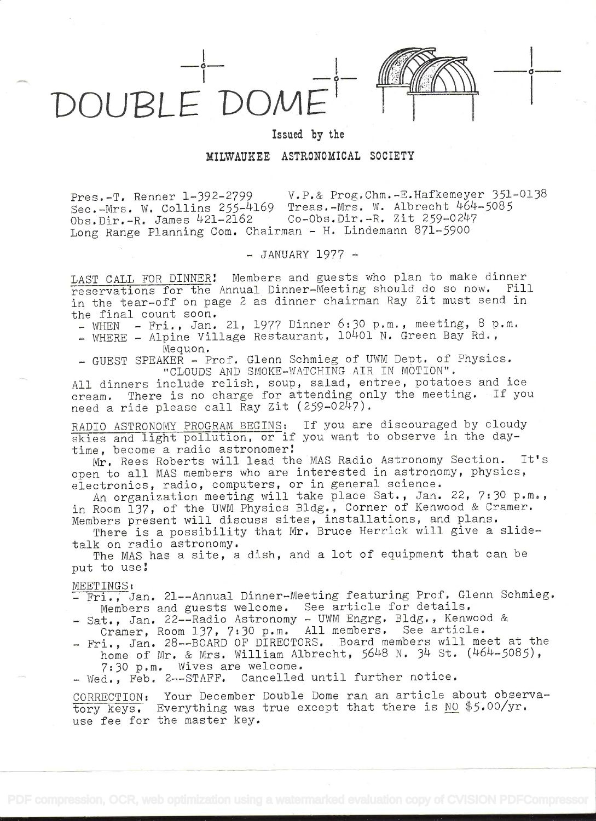

i

Issued by the

MILWAUKEE ASTRONOMICAL SOCIETY

Pres.-T. Renner 1-392-2799 V.P.& Prog.Chm.-E.Hafkemeyer 351-0138<br>Sec.-Mrs. W. Collins 255-4169 Treas.-Mrs. W. Albrecht 464-5085 Sec.-Mrs. W. Collins 255-4169 Treas.-Mrs. W. Albrecht 464<br>Obs.Dir.-R. James 421-2162 Co-Obs.Dir.-R. Zit 259-0247  $Obs.Dir.-R.$  James  $421-2162$ Long Range Planning Com. Chairman - H. Lindemann 871-5900

 $-$  JANUARY 1977  $-$ 

LAST CALL FOR DINNER! Members and guests who plan to make dinner reservations for the Annual Dinner-Meeting should do so now. Fill in the tear-off on page 2 as dinner chairman Ray Zit must send in the final count soon.

 $-$  WHEN - Fri., Jan. 21, 1977 Dinner 6:30 p.m., meeting, 8 p.m.

- WHERE - Alpine Village Restaurant, 10401 N. Green Bay Rd., Mequon.

- GUEST SPEAKER - Prof. Glenn Schmieg of UWM Dept. of Physics. "CLOUDS AND SMOKE-WATCHING AIR IN MOTION".

All dinners include relish, soup, salad, entree, potatoes and ice cream. There is no charge for attending only the meeting. If you need a ride please call Ray Zit (259-0247).

RADIO ASTRONOMY PROGRAM BEGINS: If you are discouraged by cloudy skies and light pollution, or if you want to observe in the daytime, become a radio astronomer!

Mr. Rees Roberts will lead the MAS Radio Astronomy Section. It's open to all MAS members who are interested in astronomy, physics, electronics, radio, computers, or in general science.

An organization meeting will take place Sat., Jan. 22, 7:30 p.m., in Room 137, of the UWM Physics Bldg., Corner of Kenwood & Cramer. Members present will discuss sites, installations, and plans.

There is a possibility that Mr. Bruce Herrick will give a slidetalk on radio astronomy.

The MAS has a site, a dish, and a lot of equipment that can be put to use

MEETINGS:

- Fri., Jan. 21--Annual Dinner-Meeting featuring Prof. Glenn Schmieg. Members and guests welcome. See article for details.

- Sat., Jan. 22 -- Radio Astronomy UWM Engrg. Bldg., Kenwood & Cramer, Room 137, 7:30 p.m. All members, See article.
- Fri., Jan. 28--BOARD OF DIRECTORS. Board members will meet at the home of Mr. & Mrs. William Albrecht, 5648 N. 34 St. (464-5085), '7:30 p.m. Wives are welcome.
- Wed., Feb. 2--STAFF. Cancelled until further notice.

CORRECTION: Your December Double Dome ran an article about observatory keys. Everything was true except that there is NO \$5.00/yr. use fee for the master key.